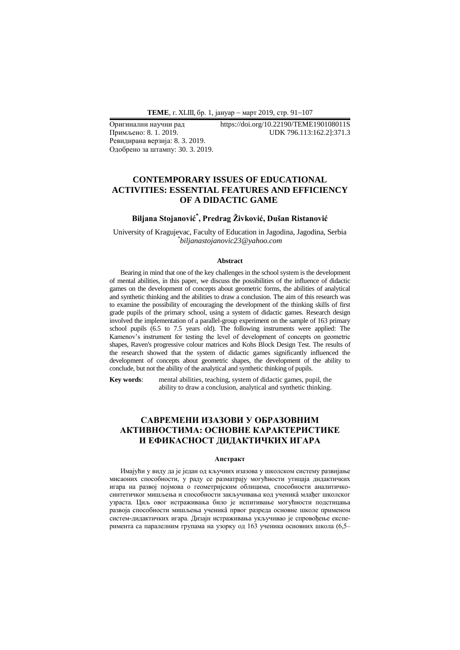**ТЕМЕ**, г. XLIII, бр. 1, јануар - март 2019, стр. 91-107

Ревидирана верзија: 8. 3. 2019. Одобрено за штампу: 30. 3. 2019.

Оригинални научни рад https://doi.org/10.22190/TEME190108011S Примљено: 8. 1. 2019. UDK 796.113:162.2]:371.3

# **CONTEMPORARY ISSUES OF EDUCATIONAL ACTIVITIES: ESSENTIAL FEATURES AND EFFICIENCY OF A DIDACTIC GAME**

# **Biljana Stojanović\* , Predrag Živković, Dušan Ristanović**

University of Kragujevac, Faculty of Education in Jagodina, Jagodina, Serbia *\* biljanastojanovic23@yahoo.com*

#### **Abstract**

Bearing in mind that one of the key challenges in the school system is the development of mental abilities, in this paper, we discuss the possibilities of the influence of didactic games on the development of concepts about geometric forms, the abilities of analytical and synthetic thinking and the abilities to draw a conclusion. The aim of this research was to examine the possibility of encouraging the development of the thinking skills of first grade pupils of the primary school, using a system of didactic games. Research design involved the implementation of a parallel-group experiment on the sample of 163 primary school pupils (6.5 to 7.5 years old). The following instruments were applied: The Kamenov's instrument for testing the level of development of concepts on geometric shapes, Raven's progressive colour matrices and Kohs Block Design Test. The results of the research showed that the system of didactic games significantly influenced the development of concepts about geometric shapes, the development of the ability to conclude, but not the ability of the analytical and synthetic thinking of pupils.

**Key words**: mental abilities, teaching, system of didactic games, pupil, the ability to draw a conclusion, analytical and synthetic thinking.

# **САВРЕМЕНИ ИЗАЗОВИ У ОБРАЗОВНИМ АКТИВНОСТИМА: ОСНОВНЕ КАРАКТЕРИСТИКЕ И ЕФИКАСНОСТ ДИДАКТИЧКИХ ИГАРА**

#### **Апстракт**

Имајући у виду да је један од кључних изазова у школском систему развијање мисаоних способности, у раду се разматрају могућности утицаја дидактичких игара на развој појмова о геометријским облицима, способности аналитичкосинтетичког мишљења и способности закључивања код ученикâ млађег школског узраста. Циљ овог истраживања било је испитивање могућности подстицања развоја способности мишљења ученикâ првог разреда основне школе применом систем-дидактичких игара. Дизајн истраживања укључивао je спровођење експеримента са паралелним групама на узорку од 163 ученика основних школа (6,5–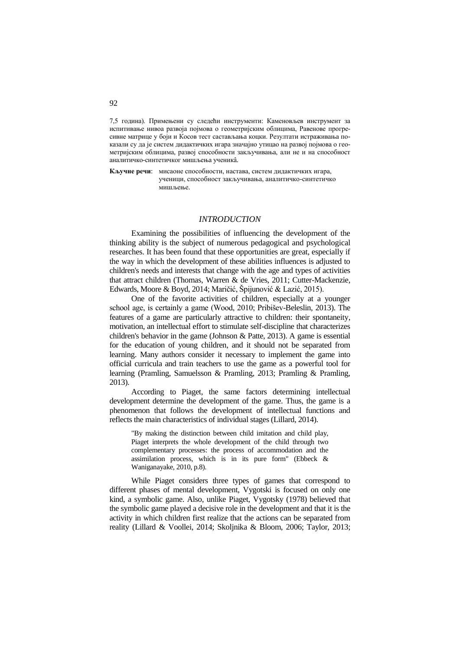7,5 година). Примењени су следећи инструменти: Каменовљев инструмент за испитивање нивоа развоја појмова о геометријским облицима, Равенове прогресивне матрице у боји и Косов тест састављања коцки. Резултати истраживања показали су да је систем дидактичких игара значајно утицао на развој појмова о геометријским облицима, развој способности закључивања, али не и на способност аналитичко-синтетичког мишљења ученикâ.

**Кључне речи**: мисаоне способности, настава, систем дидактичких игара, ученици, способност закључивања, аналитичко-синтетичко мишљење.

### *INTRODUCTION*

Examining the possibilities of influencing the development of the thinking ability is the subject of numerous pedagogical and psychological researches. It has been found that these opportunities are great, especially if the way in which the development of these abilities influences is adjusted to children's needs and interests that change with the age and types of activities that attract children (Thomas, Warren & de Vries, 2011; Cutter-Mackenzie, Edwards, Moore & Boyd, 2014; Maričić, Špijunović & Lazić, 2015).

One of the favorite activities of children, especially at a younger school age, is certainly a game (Wood, 2010; Pribišev-Beleslin, 2013). The features of a game are particularly attractive to children: their spontaneity, motivation, an intellectual effort to stimulate self-discipline that characterizes children's behavior in the game (Johnson & Patte, 2013). A game is essential for the education of young children, and it should not be separated from learning. Many authors consider it necessary to implement the game into official curricula and train teachers to use the game as a powerful tool for learning (Pramling, Samuelsson & Pramling, 2013; Pramling & Pramling, 2013).

According to Piaget, the same factors determining intellectual development determine the development of the game. Thus, the game is a phenomenon that follows the development of intellectual functions and reflects the main characteristics of individual stages (Lillard, 2014).

"By making the distinction between child imitation and child play, Piaget interprets the whole development of the child through two complementary processes: the process of accommodation and the assimilation process, which is in its pure form" (Ebbeck & Waniganayake, 2010, p.8).

While Piaget considers three types of games that correspond to different phases of mental development, Vygotski is focused on only one kind, a symbolic game. Also, unlike Piaget, Vygotsky (1978) believed that the symbolic game played a decisive role in the development and that it is the activity in which children first realize that the actions can be separated from reality (Lillard & Voollei, 2014; Skoljnika & Bloom, 2006; Taylor, 2013;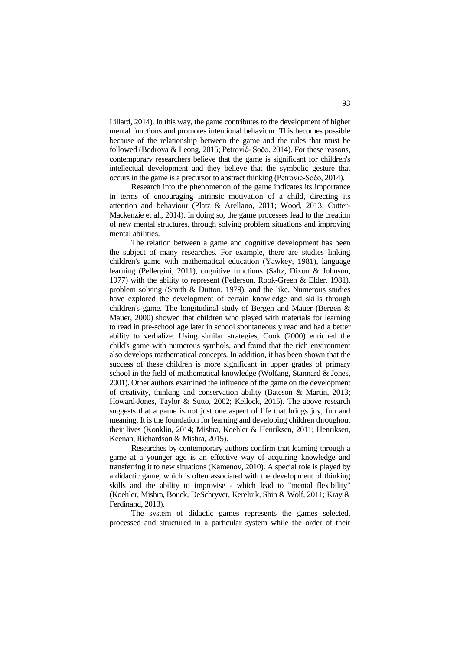Lillard, 2014). In this way, the game contributes to the development of higher mental functions and promotes intentional behaviour. This becomes possible because of the relationship between the game and the rules that must be followed (Bodrova & Leong, 2015; Petrović- Sočo, 2014). For these reasons, contemporary researchers believe that the game is significant for children's intellectual development and they believe that the symbolic gesture that occurs in the game is a precursor to abstract thinking (Petrović-Sočo, 2014).

Research into the phenomenon of the game indicates its importance in terms of encouraging intrinsic motivation of a child, directing its attention and behaviour (Platz & Arellano, 2011; Wood, 2013; Cutter-Mackenzie et al., 2014). In doing so, the game processes lead to the creation of new mental structures, through solving problem situations and improving mental abilities.

The relation between a game and cognitive development has been the subject of many researches. For example, there are studies linking children's game with mathematical education (Yawkey, 1981), language learning (Pellergini, 2011), cognitive functions (Saltz, Dixon & Johnson, 1977) with the ability to represent (Pederson, Rook-Green & Elder, 1981), problem solving (Smith & Dutton, 1979), and the like. Numerous studies have explored the development of certain knowledge and skills through children's game. The longitudinal study of Bergen and Mauer (Bergen & Mauer, 2000) showed that children who played with materials for learning to read in pre-school age later in school spontaneously read and had a better ability to verbalize. Using similar strategies, Cook (2000) enriched the child's game with numerous symbols, and found that the rich environment also develops mathematical concepts. In addition, it has been shown that the success of these children is more significant in upper grades of primary school in the field of mathematical knowledge (Wolfang, Stannard & Jones, 2001). Other authors examined the influence of the game on the development of creativity, thinking and conservation ability (Bateson & Martin, 2013; Howard-Jones, Taylor & Sutto, 2002; Kellock, 2015). The above research suggests that a game is not just one aspect of life that brings joy, fun and meaning. It is the foundation for learning and developing children throughout their lives (Konklin, 2014; Mishra, Koehler & Henriksen, 2011; Henriksen, Keenan, Richardson & Mishra, 2015).

Researches by contemporary authors confirm that learning through a game at a younger age is an effective way of acquiring knowledge and transferring it to new situations (Kamenov, 2010). A special role is played by a didactic game, which is often associated with the development of thinking skills and the ability to improvise - which lead to "mental flexibility" (Koehler, Mishra, Bouck, DeSchryver, Kereluik, Shin & Wolf, 2011; Kray & Ferdinand, 2013).

The system of didactic games represents the games selected, processed and structured in a particular system while the order of their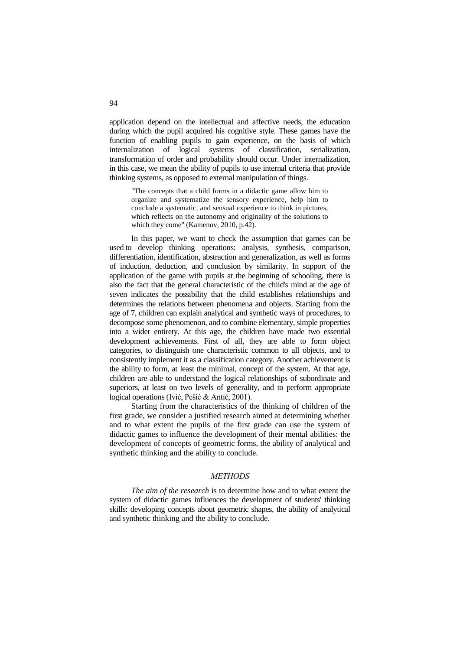application depend on the intellectual and affective needs, the education during which the pupil acquired his cognitive style. These games have the function of enabling pupils to gain experience, on the basis of which internalization of logical systems of classification, serialization, transformation of order and probability should occur. Under internalization, in this case, we mean the ability of pupils to use internal criteria that provide thinking systems, as opposed to external manipulation of things.

"The concepts that a child forms in a didactic game allow him to organize and systematize the sensory experience, help him to conclude a systematic, and sensual experience to think in pictures, which reflects on the autonomy and originality of the solutions to which they come" (Kamenov, 2010, p.42).

In this paper, we want to check the assumption that games can be used to develop thinking operations: analysis, synthesis, comparison, differentiation, identification, abstraction and generalization, as well as forms of induction, deduction, and conclusion by similarity. In support of the application of the game with pupils at the beginning of schooling, there is also the fact that the general characteristic of the child's mind at the age of seven indicates the possibility that the child establishes relationships and determines the relations between phenomena and objects. Starting from the age of 7, children can explain analytical and synthetic ways of procedures, to decompose some phenomenon, and to combine elementary, simple properties into a wider entirety. At this age, the children have made two essential development achievements. First of all, they are able to form object categories, to distinguish one characteristic common to all objects, and to consistently implement it as a classification category. Another achievement is the ability to form, at least the minimal, concept of the system. At that age, children are able to understand the logical relationships of subordinate and superiors, at least on two levels of generality, and to perform appropriate logical operations (Ivić, Pešić & Antić, 2001).

Starting from the characteristics of the thinking of children of the first grade, we consider a justified research aimed at determining whether and to what extent the pupils of the first grade can use the system of didactic games to influence the development of their mental abilities: the development of concepts of geometric forms, the ability of analytical and synthetic thinking and the ability to conclude.

# *МETHODS*

*The aim of the research* is to determine how and to what extent the system of didactic games influences the development of students' thinking skills: developing concepts about geometric shapes, the ability of analytical and synthetic thinking and the ability to conclude.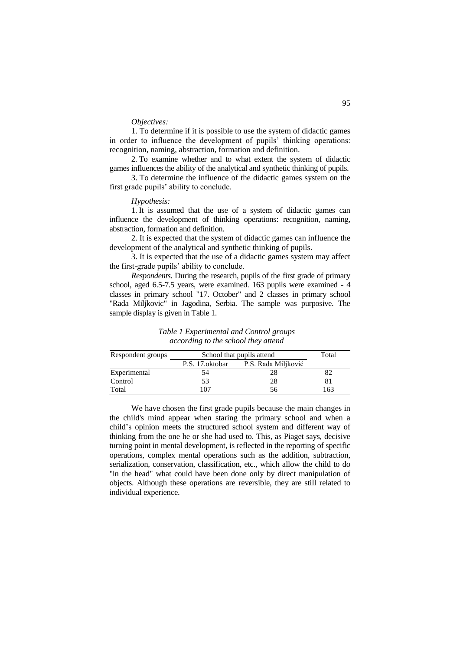# *Objectives:*

1. To determine if it is possible to use the system of didactic games in order to influence the development of pupils' thinking operations: recognition, naming, abstraction, formation and definition.

2. To examine whether and to what extent the system of didactic games influences the ability of the analytical and synthetic thinking of pupils.

3. To determine the influence of the didactic games system on the first grade pupils' ability to conclude.

## *Hypothesis:*

1. It is assumed that the use of a system of didactic games can influence the development of thinking operations: recognition, naming, abstraction, formation and definition.

2. It is expected that the system of didactic games can influence the development of the analytical and synthetic thinking of pupils.

3. It is expected that the use of a didactic games system may affect the first-grade pupils' ability to conclude.

*Respondents*. During the research, pupils of the first grade of primary school, aged 6.5-7.5 years, were examined. 163 pupils were examined - 4 classes in primary school "17. October" and 2 classes in primary school "Rada Miljkovic" in Jagodina, Serbia. The sample was purposive. The sample display is given in Table 1.

| Respondent groups | School that pupils attend | Total               |    |
|-------------------|---------------------------|---------------------|----|
|                   | P.S. 17. oktobar          | P.S. Rada Miljković |    |
| Experimental      | 54                        |                     |    |
| Control           | 53                        | 28                  |    |
| Total             | 07                        | ንስ                  | 63 |

*Table 1 Experimental and Control groups according to the school they attend*

We have chosen the first grade pupils because the main changes in the child's mind appear when staring the primary school and when a child's opinion meets the structured school system and different way of thinking from the one he or she had used to. This, as Piaget says, decisive turning point in mental development, is reflected in the reporting of specific operations, complex mental operations such as the addition, subtraction, serialization, conservation, classification, etc., which allow the child to do "in the head" what could have been done only by direct manipulation of objects. Although these operations are reversible, they are still related to individual experience.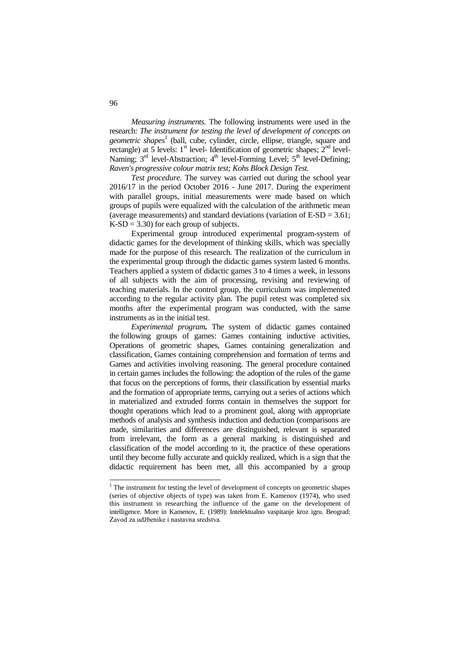*Measuring instruments.* The following instruments were used in the research: *The instrument for testing the level of development of concepts on geometric shapes<sup>1</sup>* (ball, cube, cylinder, circle, ellipse, triangle, square and rectangle) at 5 levels:  $1<sup>st</sup>$  level- Identification of geometric shapes;  $2<sup>nd</sup>$  level-Naming;  $3<sup>rd</sup>$  level-Abstraction;  $4<sup>th</sup>$  level-Forming Level;  $5<sup>th</sup>$  level-Defining; *Raven's progressive colour matrix test; Kohs Block Design Test.*

*Test procedure.* The survey was carried out during the school year 2016/17 in the period October 2016 - June 2017. During the experiment with parallel groups, initial measurements were made based on which groups of pupils were equalized with the calculation of the arithmetic mean (average measurements) and standard deviations (variation of E-SD = 3.61;  $K-SD = 3.30$  for each group of subjects.

Experimental group introduced experimental program-system of didactic games for the development of thinking skills, which was specially made for the purpose of this research. The realization of the curriculum in the experimental group through the didactic games system lasted 6 months. Teachers applied a system of didactic games 3 to 4 times a week, in lessons of all subjects with the aim of processing, revising and reviewing of teaching materials. In the control group, the curriculum was implemented according to the regular activity plan. The pupil retest was completed six months after the experimental program was conducted, with the same instruments as in the initial test.

*Experimental program.* The system of didactic games contained the following groups of games: Games containing inductive activities, Operations of geometric shapes, Games containing generalization and classification, Games containing comprehension and formation of terms and Games and activities involving reasoning. The general procedure contained in certain games includes the following: the adoption of the rules of the game that focus on the perceptions of forms, their classification by essential marks and the formation of appropriate terms, carrying out a series of actions which in materialized and extruded forms contain in themselves the support for thought operations which lead to a prominent goal, along with appropriate methods of analysis and synthesis induction and deduction (comparisons are made, similarities and differences are distinguished, relevant is separated from irrelevant, the form as a general marking is distinguished and classification of the model according to it, the practice of these operations until they become fully accurate and quickly realized, which is a sign that the didactic requirement has been met, all this accompanied by a group

<u>.</u>

<sup>&</sup>lt;sup>1</sup> The instrument for testing the level of development of concepts on geometric shapes (series of objective objects of type) was taken from E. Kamenov (1974), who used this instrument in researching the influence of the game on the development of intelligence. More in Kamenov, E. (1989): Intelektualno vaspitanje kroz igru. Beograd: Zavod za udžbenike i nastavna sredstva.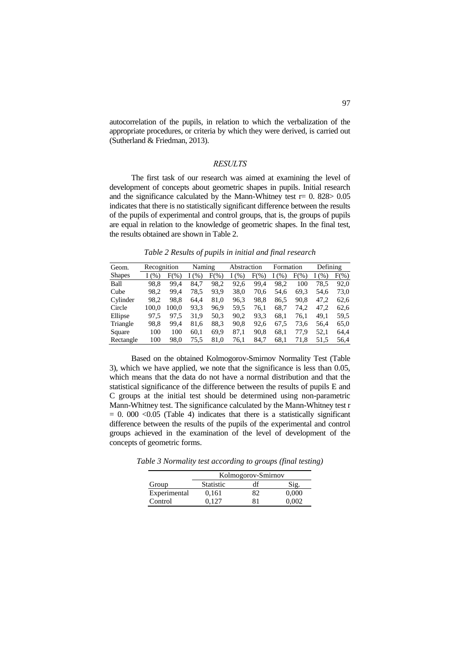autocorrelation of the pupils, in relation to which the verbalization of the appropriate procedures, or criteria by which they were derived, is carried out (Sutherland & Friedman, 2013).

### *RESULTS*

The first task of our research was aimed at examining the level of development of concepts about geometric shapes in pupils. Initial research and the significance calculated by the Mann-Whitney test  $r= 0$ . 828> 0.05 indicates that there is no statistically significant difference between the results of the pupils of experimental and control groups, that is, the groups of pupils are equal in relation to the knowledge of geometric shapes. In the final test, the results obtained are shown in Table 2.

*Table 2 Results of pupils in initial and final research*

| Geom.         | Recognition |         | Naming |         | Abstraction |         | Formation |         | Defining |         |
|---------------|-------------|---------|--------|---------|-------------|---------|-----------|---------|----------|---------|
| <b>Shapes</b> | (% )        | $F(\%)$ | I(%)   | $F(\%)$ | (% )<br>L   | $F(\%)$ | (% )<br>L | $F(\%)$ | (% )     | $F(\%)$ |
| Ball          | 98.8        | 99.4    | 84.7   | 98,2    | 92,6        | 99.4    | 98,2      | 100     | 78.5     | 92,0    |
| Cube          | 98.2        | 99.4    | 78.5   | 93,9    | 38.0        | 70.6    | 54.6      | 69.3    | 54.6     | 73.0    |
| Cylinder      | 98.2        | 98.8    | 64.4   | 81,0    | 96.3        | 98.8    | 86,5      | 90,8    | 47.2     | 62,6    |
| Circle        | 100.0       | 100.0   | 93,3   | 96,9    | 59.5        | 76.1    | 68.7      | 74,2    | 47.2     | 62.6    |
| Ellipse       | 97.5        | 97.5    | 31,9   | 50,3    | 90.2        | 93.3    | 68,1      | 76,1    | 49.1     | 59.5    |
| Triangle      | 98,8        | 99.4    | 81,6   | 88,3    | 90,8        | 92.6    | 67,5      | 73,6    | 56,4     | 65,0    |
| Square        | 100         | 100     | 60.1   | 69,9    | 87,1        | 90.8    | 68,1      | 77.9    | 52.1     | 64.4    |
| Rectangle     | 100         | 98.0    | 75.5   | 81,0    | 76,1        | 84.7    | 68,1      | 71,8    | 51,5     | 56,4    |

Based on the obtained Kolmogorov-Smirnov Normality Test (Table 3), which we have applied, we note that the significance is less than 0.05, which means that the data do not have a normal distribution and that the statistical significance of the difference between the results of pupils E and C groups at the initial test should be determined using non-parametric Mann-Whitney test. The significance calculated by the Mann-Whitney test r  $= 0.000$  <0.05 (Table 4) indicates that there is a statistically significant difference between the results of the pupils of the experimental and control groups achieved in the examination of the level of development of the concepts of geometric forms.

*Table 3 Normality test according to groups (final testing)*

|              | Kolmogorov-Smirnov |    |       |  |  |
|--------------|--------------------|----|-------|--|--|
| Group        | <b>Statistic</b>   | df | Sig.  |  |  |
| Experimental | 0,161              | 82 | 0,000 |  |  |
| Control      | በ 127              | 81 | 0.002 |  |  |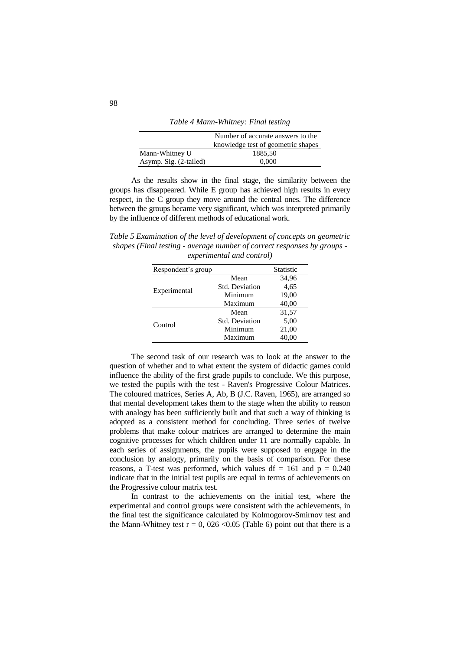|                        | Number of accurate answers to the  |
|------------------------|------------------------------------|
|                        | knowledge test of geometric shapes |
| Mann-Whitney U         | 1885,50                            |
| Asymp. Sig. (2-tailed) | 0.000                              |

*Table 4 Mann-Whitney: Final testing*

As the results show in the final stage, the similarity between the groups has disappeared. While E group has achieved high results in every respect, in the C group they move around the central ones. The difference between the groups became very significant, which was interpreted primarily by the influence of different methods of educational work.

*Table 5 Examination of the level of development of concepts on geometric shapes (Final testing - average number of correct responses by groups experimental and control)*

| Respondent's group |                       | <b>Statistic</b> |
|--------------------|-----------------------|------------------|
|                    | Mean                  | 34,96            |
|                    | <b>Std. Deviation</b> | 4,65             |
| Experimental       | Minimum               | 19,00            |
|                    | Maximum               | 40,00            |
|                    | Mean                  | 31,57            |
| Control            | <b>Std. Deviation</b> | 5,00             |
|                    | Minimum               | 21,00            |
|                    | Maximum               | 40.00            |

The second task of our research was to look at the answer to the question of whether and to what extent the system of didactic games could influence the ability of the first grade pupils to conclude. We this purpose, we tested the pupils with the test - Raven's Progressive Colour Matrices. The coloured matrices, Series A, Ab, B (J.C. Raven, 1965), are arranged so that mental development takes them to the stage when the ability to reason with analogy has been sufficiently built and that such a way of thinking is adopted as a consistent method for concluding. Three series of twelve problems that make colour matrices are arranged to determine the main cognitive processes for which children under 11 are normally capable. In each series of assignments, the pupils were supposed to engage in the conclusion by analogy, primarily on the basis of comparison. For these reasons, a T-test was performed, which values df = 161 and  $p = 0.240$ indicate that in the initial test pupils are equal in terms of achievements on the Progressive colour matrix test.

In contrast to the achievements on the initial test, where the experimental and control groups were consistent with the achievements, in the final test the significance calculated by Kolmogorov-Smirnov test and the Mann-Whitney test  $r = 0$ , 026 < 0.05 (Table 6) point out that there is a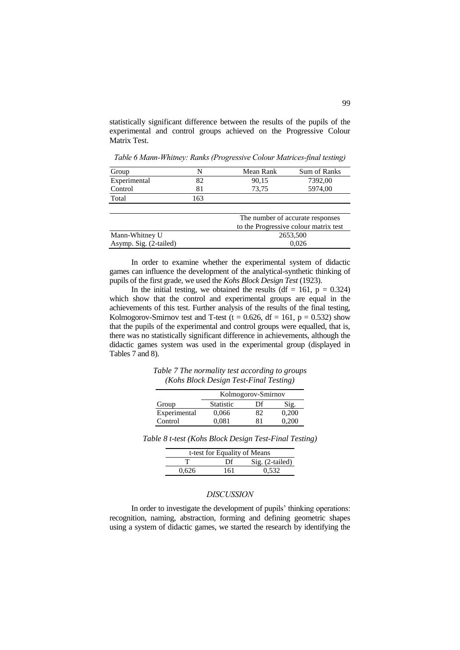statistically significant difference between the results of the pupils of the experimental and control groups achieved on the Progressive Colour Matrix Test.

| Group        | N   | Mean Rank | Sum of Ranks                                                               |
|--------------|-----|-----------|----------------------------------------------------------------------------|
| Experimental | 82  | 90,15     | 7392,00                                                                    |
| Control      | 81  | 73,75     | 5974,00                                                                    |
| Total        | 163 |           |                                                                            |
|              |     |           |                                                                            |
|              |     |           | The number of accurate responses<br>to the Dunguagive colorer potenty took |

*Table 6 Mann-Whitney: Ranks (Progressive Colour Matrices-final testing)*

|                        | The number of accurate responses<br>to the Progressive colour matrix test |
|------------------------|---------------------------------------------------------------------------|
| Mann-Whitney U         | 2653,500                                                                  |
| Asymp. Sig. (2-tailed) | 0.026                                                                     |

In order to examine whether the experimental system of didactic games can influence the development of the analytical-synthetic thinking of pupils of the first grade, we used the *Kohs Block Design Test* (1923).

In the initial testing, we obtained the results (df = 161,  $p = 0.324$ ) which show that the control and experimental groups are equal in the achievements of this test. Further analysis of the results of the final testing, Kolmogorov-Smirnov test and T-test (t = 0.626, df = 161, p = 0.532) show that the pupils of the experimental and control groups were equalled, that is, there was no statistically significant difference in achievements, although the didactic games system was used in the experimental group (displayed in Tables 7 and 8).

*Table 7 The normality test according to groups (Kohs Block Design Test-Final Testing)*

|              | Kolmogorov-Smirnov |    |       |  |  |
|--------------|--------------------|----|-------|--|--|
| Group        | <b>Statistic</b>   | Df | Sig.  |  |  |
| Experimental | 0.066              | 82 | 0.200 |  |  |
| Control      | 0.081              | 81 | 0.200 |  |  |

| Table 8 t-test (Kohs Block Design Test-Final Testing) |  |  |  |
|-------------------------------------------------------|--|--|--|
|                                                       |  |  |  |

| t-test for Equality of Means |     |                   |  |  |
|------------------------------|-----|-------------------|--|--|
|                              | Df  | $Sig. (2-tailed)$ |  |  |
| 0.626                        | 161 | 0.532             |  |  |

# *DISCUSSION*

In order to investigate the development of pupils' thinking operations: recognition, naming, abstraction, forming and defining geometric shapes using a system of didactic games, we started the research by identifying the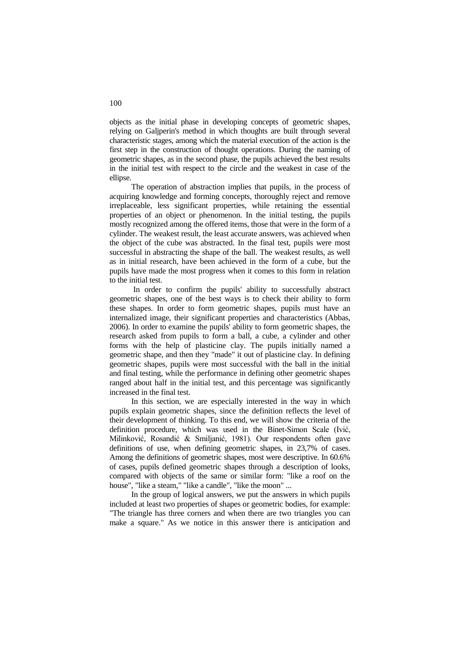objects as the initial phase in developing concepts of geometric shapes, relying on Galjperin's method in which thoughts are built through several characteristic stages, among which the material execution of the action is the first step in the construction of thought operations. During the naming of geometric shapes, as in the second phase, the pupils achieved the best results in the initial test with respect to the circle and the weakest in case of the ellipse.

The operation of abstraction implies that pupils, in the process of acquiring knowledge and forming concepts, thoroughly reject and remove irreplaceable, less significant properties, while retaining the essential properties of an object or phenomenon. In the initial testing, the pupils mostly recognized among the offered items, those that were in the form of a cylinder. The weakest result, the least accurate answers, was achieved when the object of the cube was abstracted. In the final test, pupils were most successful in abstracting the shape of the ball. The weakest results, as well as in initial research, have been achieved in the form of a cube, but the pupils have made the most progress when it comes to this form in relation to the initial test.

In order to confirm the pupils' ability to successfully abstract geometric shapes, one of the best ways is to check their ability to form these shapes. In order to form geometric shapes, pupils must have an internalized image, their significant properties and characteristics (Abbas, 2006). In order to examine the pupils' ability to form geometric shapes, the research asked from pupils to form a ball, a cube, a cylinder and other forms with the help of plasticine clay. The pupils initially named a geometric shape, and then they "made" it out of plasticine clay. In defining geometric shapes, pupils were most successful with the ball in the initial and final testing, while the performance in defining other geometric shapes ranged about half in the initial test, and this percentage was significantly increased in the final test.

In this section, we are especially interested in the way in which pupils explain geometric shapes, since the definition reflects the level of their development of thinking. To this end, we will show the criteria of the definition procedure, which was used in the Binet-Simon Scale (Ivić, Milinković, Rosandić & Smiljanić, 1981). Our respondents often gave definitions of use, when defining geometric shapes, in 23,7% of cases. Among the definitions of geometric shapes, most were descriptive. In 60.6% of cases, pupils defined geometric shapes through a description of looks, compared with objects of the same or similar form: "like a roof on the house", "like a steam," "like a candle", "like the moon" ...

In the group of logical answers, we put the answers in which pupils included at least two properties of shapes or geometric bodies, for example: "The triangle has three corners and when there are two triangles you can make a square." As we notice in this answer there is anticipation and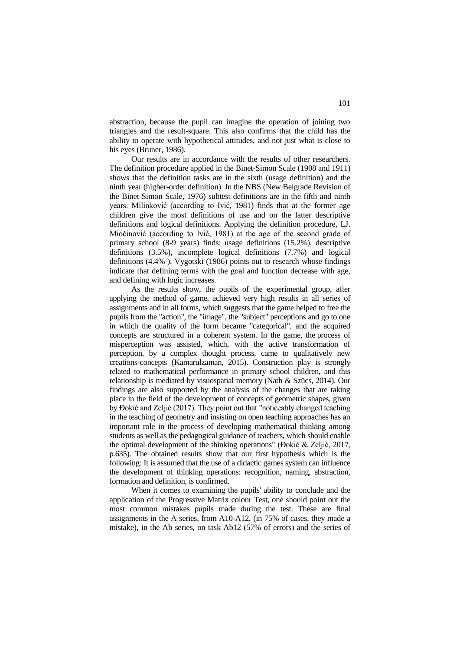abstraction, because the pupil can imagine the operation of joining two triangles and the result-square. This also confirms that the child has the ability to operate with hypothetical attitudes, and not just what is close to his eyes (Bruner, 1986).

Our results are in accordance with the results of other researchers. The definition procedure applied in the Binet-Simon Scale (1908 and 1911) shows that the definition tasks are in the sixth (usage definition) and the ninth year (higher-order definition). In the NBS (New Belgrade Revision of the Binet-Simon Scale, 1976) subtest definitions are in the fifth and ninth years. Milinković (according to Ivić, 1981) finds that at the former age children give the most definitions of use and on the latter descriptive definitions and logical definitions. Applying the definition procedure, LJ. Miočinović (according to Ivić, 1981) at the age of the second grade of primary school (8-9 years) finds: usage definitions (15.2%), descriptive definitions (3.5%), incomplete logical definitions (7.7%) and logical definitions (4.4% ). Vygotski (1986) points out to research whose findings indicate that defining terms with the goal and function decrease with age, and defining with logic increases.

As the results show, the pupils of the experimental group, after applying the method of game, achieved very high results in all series of assignments and in all forms, which suggests that the game helped to free the pupils from the "action", the "image", the "subject" perceptions and go to one in which the quality of the form became "categorical", and the acquired concepts are structured in a coherent system. In the game, the process of misperception was assisted, which, with the active transformation of perception, by a complex thought process, came to qualitatively new creations-concepts (Kamarulzaman, 2015). Construction play is strongly related to mathematical performance in primary school children, and this relationship is mediated by visuospatial memory (Nath & Szücs, 2014). Our findings are also supported by the analysis of the changes that are taking place in the field of the development of concepts of geometric shapes, given by Đokić and Zeljić (2017). They point out that "noticeably changed teaching in the teaching of geometry and insisting on open teaching approaches has an important role in the process of developing mathematical thinking among students as well as the pedagogical guidance of teachers, which should enable the optimal development of the thinking operations" (Đokić & Zeljić, 2017, p.635). The obtained results show that our first hypothesis which is the following: It is assumed that the use of a didactic games system can influence the development of thinking operations: recognition, naming, abstraction, formation and definition, is confirmed.

When it comes to examining the pupils' ability to conclude and the application of the Progressive Matrix colour Test, one should point out the most common mistakes pupils made during the test. These are final assignments in the A series, from A10-A12, (in 75% of cases, they made a mistake), in the Ab series, on task Ab12 (57% of errors) and the series of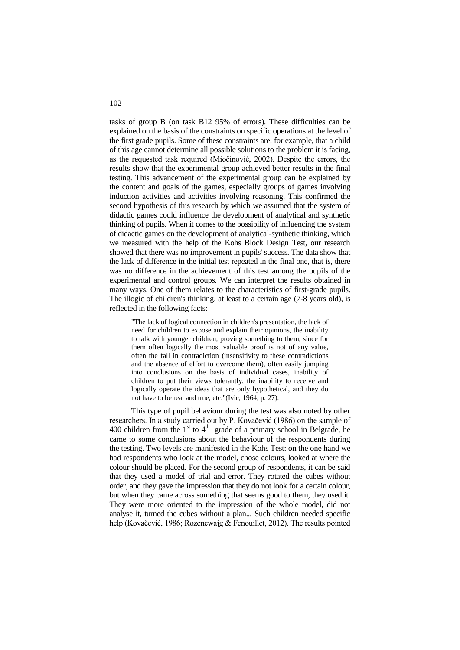tasks of group B (on task B12 95% of errors). These difficulties can be explained on the basis of the constraints on specific operations at the level of the first grade pupils. Some of these constraints are, for example, that a child of this age cannot determine all possible solutions to the problem it is facing, as the requested task required (Miočinović, 2002). Despite the errors, the results show that the experimental group achieved better results in the final testing. This advancement of the experimental group can be explained by the content and goals of the games, especially groups of games involving induction activities and activities involving reasoning. This confirmed the second hypothesis of this research by which we assumed that the system of didactic games could influence the development of analytical and synthetic thinking of pupils. When it comes to the possibility of influencing the system of didactic games on the development of analytical-synthetic thinking, which we measured with the help of the Kohs Block Design Test, our research showed that there was no improvement in pupils' success. The data show that the lack of difference in the initial test repeated in the final one, that is, there was no difference in the achievement of this test among the pupils of the experimental and control groups. We can interpret the results obtained in many ways. One of them relates to the characteristics of first-grade pupils. The illogic of children's thinking, at least to a certain age (7-8 years old), is reflected in the following facts:

"The lack of logical connection in children's presentation, the lack of need for children to expose and explain their opinions, the inability to talk with younger children, proving something to them, since for them often logically the most valuable proof is not of any value, often the fall in contradiction (insensitivity to these contradictions and the absence of effort to overcome them), often easily jumping into conclusions on the basis of individual cases, inability of children to put their views tolerantly, the inability to receive and logically operate the ideas that are only hypothetical, and they do not have to be real and true, etc."(Ivic, 1964, p. 27).

This type of pupil behaviour during the test was also noted by other researchers. In a study carried out by P. Kovačević (1986) on the sample of 400 children from the  $1<sup>st</sup>$  to  $4<sup>th</sup>$  grade of a primary school in Belgrade, he came to some conclusions about the behaviour of the respondents during the testing. Two levels are manifested in the Kohs Test: on the one hand we had respondents who look at the model, chose colours, looked at where the colour should be placed. For the second group of respondents, it can be said that they used a model of trial and error. They rotated the cubes without order, and they gave the impression that they do not look for a certain colour, but when they came across something that seems good to them, they used it. They were more oriented to the impression of the whole model, did not analyse it, turned the cubes without a plan... Such children needed specific help (Kovačević, 1986; Rozencwajg & Fenouillet, 2012). The results pointed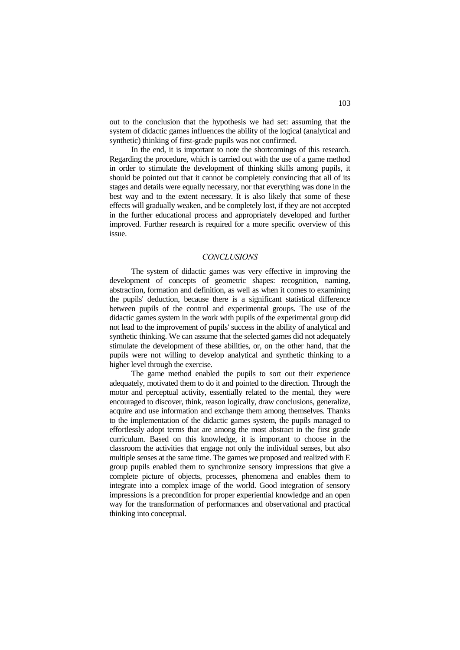out to the conclusion that the hypothesis we had set: assuming that the system of didactic games influences the ability of the logical (analytical and synthetic) thinking of first-grade pupils was not confirmed.

In the end, it is important to note the shortcomings of this research. Regarding the procedure, which is carried out with the use of a game method in order to stimulate the development of thinking skills among pupils, it should be pointed out that it cannot be completely convincing that all of its stages and details were equally necessary, nor that everything was done in the best way and to the extent necessary. It is also likely that some of these effects will gradually weaken, and be completely lost, if they are not accepted in the further educational process and appropriately developed and further improved. Further research is required for a more specific overview of this issue.

### *CONCLUSIONS*

The system of didactic games was very effective in improving the development of concepts of geometric shapes: recognition, naming, abstraction, formation and definition, as well as when it comes to examining the pupils' deduction, because there is a significant statistical difference between pupils of the control and experimental groups. The use of the didactic games system in the work with pupils of the experimental group did not lead to the improvement of pupils' success in the ability of analytical and synthetic thinking. We can assume that the selected games did not adequately stimulate the development of these abilities, or, on the other hand, that the pupils were not willing to develop analytical and synthetic thinking to a higher level through the exercise.

The game method enabled the pupils to sort out their experience adequately, motivated them to do it and pointed to the direction. Through the motor and perceptual activity, essentially related to the mental, they were encouraged to discover, think, reason logically, draw conclusions, generalize, acquire and use information and exchange them among themselves. Thanks to the implementation of the didactic games system, the pupils managed to effortlessly adopt terms that are among the most abstract in the first grade curriculum. Based on this knowledge, it is important to choose in the classroom the activities that engage not only the individual senses, but also multiple senses at the same time. The games we proposed and realized with E group pupils enabled them to synchronize sensory impressions that give a complete picture of objects, processes, phenomena and enables them to integrate into a complex image of the world. Good integration of sensory impressions is a precondition for proper experiential knowledge and an open way for the transformation of performances and observational and practical thinking into conceptual.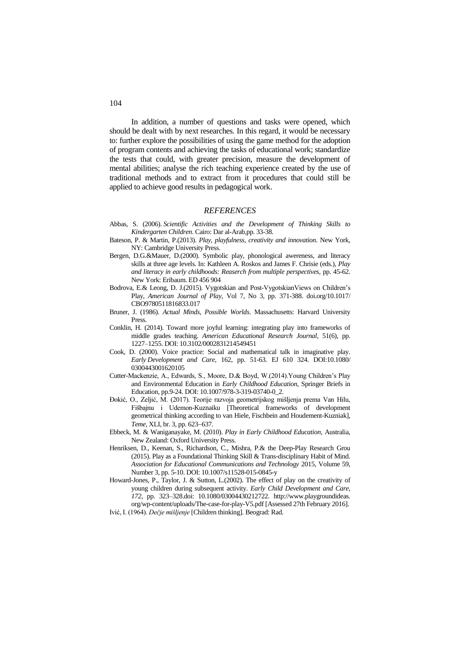In addition, a number of questions and tasks were opened, which should be dealt with by next researches. In this regard, it would be necessary to: further explore the possibilities of using the game method for the adoption of program contents and achieving the tasks of educational work; standardize the tests that could, with greater precision, measure the development of mental abilities; analyse the rich teaching experience created by the use of traditional methods and to extract from it procedures that could still be applied to achieve good results in pedagogical work.

### *REFERENCES*

- Abbas, S. (2006). *Scientific Activities and the Development of Thinking Skills to Kindergarten Children*. Cairo: Dar al-Arab,pp. 33-38.
- Bateson, P. & Martin, P.(2013). *Play, playfulness, creativity and innovation*. New York, NY: Cambridge University Press.
- Bergen, D.G.&Mauer, D.(2000). Symbolic play, phonological awereness, and literacy skills at three age levels. In: Kathleen A. Roskos and James F. Chrisie (eds.), *Play and literacy in early childhoods: Reaserch from multiple perspectives,* pp. 45-62. New York: Eribaum. ED 456 904
- Bodrova, E.& Leong, D. J.(2015). Vygotskian and Post-VygotskianViews on Children's Play, *American Journal of Play,* Vol 7, No 3, pp. 371-388. [doi.org/10.1017/](http://dx.doi.org/10.1017/CBO9780511816833.017) [CBO9780511816833.017](http://dx.doi.org/10.1017/CBO9780511816833.017)
- Bruner, J. (1986). *Actual Minds, Possible Worlds*. Massachusetts: Harvard University Press.
- Conklin, H. (2014). Toward more joyful learning: integrating play into frameworks of middle grades teaching. *American Educational Research Journal*, 51(6), pp. 1227–1255. DOI: 10.3102/0002831214549451
- Cook, D. (2000). Voice practice: Social and mathematical talk in imaginative play. *Early Development and Care*, 162, pp. 51-63. EJ 610 324. DOI:10.1080/ 0300443001620105
- Cutter-Mackenzie, A., Edwards, S., Moore, D.& Boyd, W.(2014).Young Children's Play and Environmental Education in *Early Childhood Education*, Springer Briefs in Education, pp.9-24. DOI: 10.1007/978-3-319-03740-0\_2.
- Đokić, O., Zeljić, M. (2017). Teorije razvoja geometrijskog mišljenja prema Van Hilu, Fišbajnu i Udemon-Kuznaiku [Тheoretical frameworks of development geometrical thinking according to van Hiele, Fischbein and Houdement-Kuzniak], *Teme*, XLI, br. 3, pp. 623-637.
- Ebbeck, M. & Waniganayake, M. (2010). *Play in Early Childhood Education*, Australia, New Zealand: Oxford University Press.
- Henriksen, D., Keenan, S., Richardson, C., Mishra, P.& the Deep-Play Research Grou (2015). Play as a Foundational Thinking Skill & Trans-disciplinary Habit of Mind*. Association for Educational Communications and Technology* 2015, Volume 59, Number 3, pp. 5-10. DOI: 10.1007/s11528-015-0845-y
- Howard-Jones, P., Taylor, J. & Sutton, L.(2002). The effect of play on the creativity of young children during subsequent activity. *Early Child Development and Care, 172*, pp. 323–328.doi: 10.1080/03004430212722. [http://www.playgroundideas.](http://www.playgroundideas.org/wp-content/uploads/The-case-for-play-V5.pdf) [org/wp-content/uploads/The-case-for-play-V5.pdf](http://www.playgroundideas.org/wp-content/uploads/The-case-for-play-V5.pdf) [Assessed 27th February 2016].
- Ivić, I. (1964). *Dečje mišljenje* [Children thinking]. Beograd: Rad.

104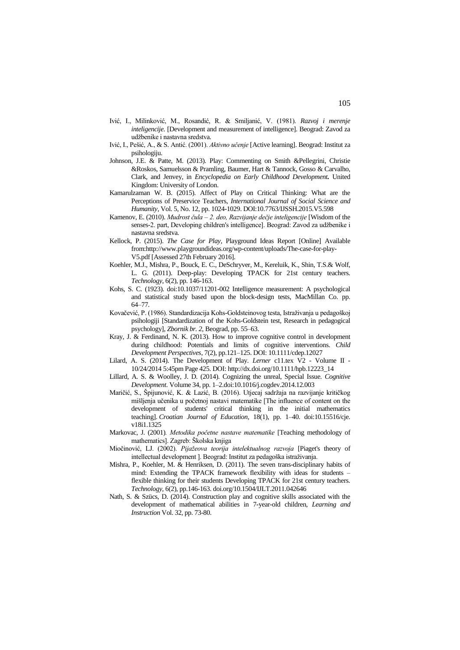- Ivić, I., Milinković, M., Rosandić, R. & Smiljanić, V. (1981). *Razvoj i merenje inteligencije.* [Development and measurement of intelligence]. Beograd: Zavod za udžbenike i nastavna sredstva.
- Ivić, I., Pešić, A., & S. Antić. (2001). *Aktivno učenje* [Active learning]. Beograd: Institut za psihologiju.
- Johnson, J.E. & Patte, M. (2013). Play: Commenting on Smith &Pellegrini, Christie &Roskos, Samuelsson & Pramling, Baumer, Hart & Tannock, Gosso & Carvalho, Clark, and Jenvey, in *Encyclopedia on Early Childhood Development.* United Kingdom: University of London.
- Kamarulzaman W. B. (2015). Affect of Play on Critical Thinking: What are the Perceptions of Preservice Teachers, *International Journal of Social Science and Humanity,* Vol. 5, No. 12, pp. 1024-1029. DOI:10.7763/IJSSH.2015.V5.598
- Kamenov, E. (2010). *Mudrost čula – 2. deo, Razvijanje dečje inteligencije* [Wisdom of the senses-2. part, Developing children's intelligence]. Beograd: Zavod za udžbenike i nastavna sredstva.
- Kellock, P. (2015). *The Case for Play,* Playground Ideas Report [Online] Available from:http://www.playgroundideas.org/wp-content/uploads/The-case-for-play-V5.pdf [Assessed 27th February 2016].
- Koehler, M.J., Mishra, P., Bouck, E. C., DeSchryver, M., Kereluik, K., Shin, T.S.& Wolf, L. G. (2011). Deep-play: Developing TPACK for 21st century teachers. *Technology*, 6(2), pp. 146-163.
- Kohs, S. C. (1923). doi:10.1037/11201-002 Intelligence measurement: A psychological and statistical study based upon the block-design tests, MacMillan Co. pp. 64–77.
- Kovačević, P. (1986). Standardizacija Kohs-Goldsteinovog testa, Istraživanja u pedagoškoj psihologiji [Standardization of the Kohs-Goldstein test, Research in pedagogical psychology], *Zbornik br. 2*, Beograd, pp. 55–63.
- Kray, J. & Ferdinand, N. K. (2013). How to improve cognitive control in development during childhood: Potentials and limits of cognitive interventions. *Child Development Perspectives*, 7(2), pp.121–125. DOI: 10.1111/cdep.12027
- Lilard, A. S. (2014). The Development of Play*. Lerner* c11.tex V2 Volume II 10/24/2014 5:45pm Page 425. DOI: [http://dx.doi.org/10.1111/hpb.12223\\_14](http://dx.doi.org/10.1111/hpb.12223_14)
- Lillard, A. S. & Woolley, J. D. (2014). Cognizing the unreal, Special Issue. *Cognitive Development*[. Volume](http://www.sciencedirect.com/science/journal/08852014/34/supp/C) 34, pp. 1–[2.doi:10.1016/j.cogdev.2014.12.003](http://dx.doi.org/10.1016/j.cogdev.2014.12.003)
- Maričić, S., Špijunović, K. & Lazić, B. (2016). Utjecaj sadržaja na razvijanje kritičkog mišljenja učenika u početnoj nastavi matematike [The influence of content on the development of students' critical thinking in the initial mathematics teaching]. *Croatian Journal of Education,* 18(1), pp. 1–40. doi:10.15516/cje. v18i1.1325
- Markovac, J. (2001)*. Metodika početne nastave matematike* [Teaching methodology of mathematics]. Zagreb: Školska knjiga
- Miočinović, LJ. (2002). *Pijažeova teorija intelektualnog razvoja* [Piaget's theory of intellectual development ]. Beograd: Institut za pedagoška istraživanja.
- Mishra, P., Koehler, M. & Henriksen, D. (2011). The seven trans-disciplinary habits of mind: Extending the TPACK framework flexibility with ideas for students – flexible thinking for their students Developing TPACK for 21st century teachers. *Technology,* 6(2), pp.146-163. doi.org/10.1504/IJLT.2011.042646
- Nath, S. & Szücs, D. (2014). Construction play and cognitive skills associated with the development of mathematical abilities in 7-year-old children, *Learning and Instruction* Vol. 32, pp. 73-80.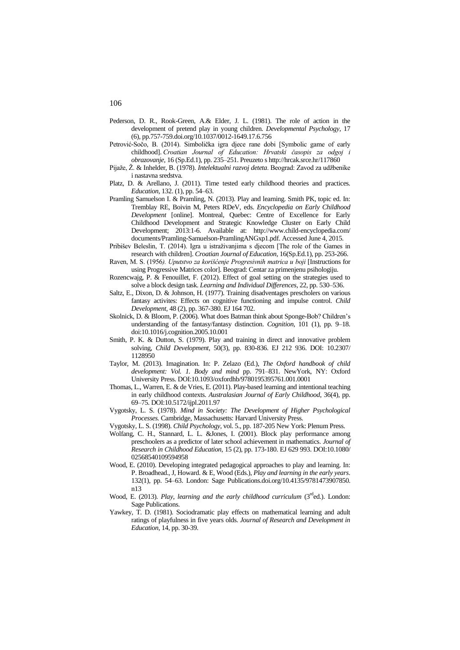- Pederson, D. R., Rook-Green, A.& Elder, J. L. (1981). The role of action in the development of pretend play in young children. *Developmental Psychology*, 17 (6), pp.757-75[9.doi.org/10.1037/0012-1649.17.6.756](http://psycnet.apa.org/doi/10.1037/0012-1649.17.6.756)
- Petrović-Sočo, B. (2014). Simbolička igra djece rane dobi [Symbolic game of early childhood]. *Croatian Journal of Education: Hrvatski časopis za odgoj i obrazovanje,* 16 (Sp.Ed.1), pp. 235–251. Preuzeto s http://hrcak.srce.hr/117860
- Pijaže, Ž. & Inhelder, B. (1978). *Intelektualni razvoj deteta*. Beograd: Zavod za udžbenike i nastavna sredstva.
- Platz, D. & Arellano, J. (2011). Time tested early childhood theories and practices. *Education*, 132. (1), pp. 54–63.
- Pramling Samuelson I. & Pramling, N. (2013). Play and learning. Smith PK, topic ed. In: Tremblay RE, Boivin M, Peters RDeV, eds. *Encyclopedia on Early Childhood Development* [online]. Montreal, Quebec: Centre of Excellence for Early Childhood Development and Strategic Knowledge Cluster on Early Child Development; 2013:1-6. Available at: http://www.child-encyclopedia.com/ documents/Pramling-Samuelson-PramlingANGxp1.pdf. Accessed June 4, 2015.
- Pribišev Beleslin, T. (2014). Igra u istraživanjima s djecom [The role of the Games in research with children]. *Croatian Journal of Education,* 16(Sp.Ed.1), pp. 253-266.
- Raven, М. S. (1956*). Uputstvo za korišćenje Progresivnih matrica u boji* [Instructions for using Progressive Matrices color]. Beograd: Centar za primenjenu psihologiju.
- Rozencwajg, P. & Fenouillet, F. (2012). Effect of goal setting on the strategies used to solve a block design task. *Learning and Individual Differences*, 22, pp. 530–536.
- Saltz, E., Dixon, D. & Johnson, H. (1977). Training disadventages prescholers on various fantasy activites: Effects on cognitive functioning and impulse control. *Child Development,* 48 (2), pp. 367-380. EJ 164 702.
- Skolnick, D. & Bloom, P. (2006). What does Batman think about Sponge-Bob? Children's understanding of the fantasy/fantasy distinction. *Cognition*, 101 (1), pp. 9–18. [doi:10.1016/j.cognition.2005.10.001](http://dx.doi.org/10.1016/j.cognition.2005.10.001)
- Smith, P. K. & Dutton, S. (1979). Play and training in direct and innovative problem solving, *Child Development*, 50(3), pp. 830-836. EJ 212 936. DOI: 10.2307/ 1128950
- Taylor, M. (2013). Imagination. In: P. Zelazo (Ed.), *The Oxford handbook of child development: Vol. 1. Body and mind* pp. 791–831. NewYork, NY: Oxford University Press. DOI:10.1093/oxfordhb/9780195395761.001.0001
- Thomas, L., Warren, E. & de Vries, E. (2011). Play-based learning and intentional teaching in early childhood contexts. *Australasian Journal of Early Childhood*, 36(4), pp. 69–75. DOI:10.5172/ijpl.2011.97
- Vygotsky, L. S. (1978). *Mind in Society: The Development of Higher Psychological Processes.* Cambridge, Massachusetts: Harvard University Press.
- Vygotsky, L. S. (1998). *Child Psychology,* vol. 5., pp. 187-205 New York: Plenum Press.
- Wolfang, C. H., Stannard, L. L. &Jones, I. (2001). Block play performance among preschoolers as a predictor of later school achievement in mathematics. *Journal of Research in Childhood Education,* 15 (2), pp. 173-180. EJ 629 993. DOI:10.1080/ 02568540109594958
- Wood, E. (2010). Developing integrated pedagogical approaches to play and learning. In: P. Broadhead., J, Howard. & E, Wood (Eds.), *Play and learning in the early years*. 132(1), pp. 54–63. London: Sage Publications[.doi.org/10.4135/9781473907850.](http://dx.doi.org/10.4135/9781473907850.n13) [n13](http://dx.doi.org/10.4135/9781473907850.n13)
- Wood, E. (2013). *Play, learning and the early childhood curriculum* (3<sup>rd</sup>ed.). London: Sage Publications.
- Yawkey, T. D. (1981). Sociodramatic play effects on mathematical learning and adult ratings of playfulness in five years olds. *Journal of Research and Development in Education*, 14, pp. 30-39.